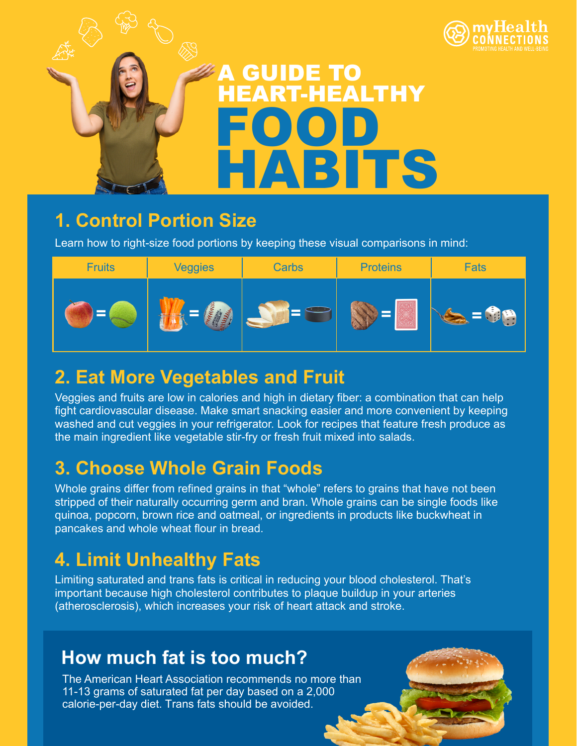



### **1. Control Portion Size**

Learn how to right-size food portions by keeping these visual comparisons in mind:

| <b>Fruits</b> | <b>Veggies</b> | <b>Carbs</b> | <b>Proteins</b> | <b>Fats</b>     |
|---------------|----------------|--------------|-----------------|-----------------|
|               |                |              |                 | <b>CON</b><br>æ |

# **2. Eat More Vegetables and Fruit**

Veggies and fruits are low in calories and high in dietary fiber: a combination that can help fight cardiovascular disease. Make smart snacking easier and more convenient by keeping washed and cut veggies in your refrigerator. Look for recipes that feature fresh produce as the main ingredient like vegetable stir-fry or fresh fruit mixed into salads.

# **3. Choose Whole Grain Foods**

Whole grains differ from refined grains in that "whole" refers to grains that have not been stripped of their naturally occurring germ and bran. Whole grains can be single foods like quinoa, popcorn, brown rice and oatmeal, or ingredients in products like buckwheat in pancakes and whole wheat flour in bread.

# **4. Limit Unhealthy Fats**

Limiting saturated and trans fats is critical in reducing your blood cholesterol. That's important because high cholesterol contributes to plaque buildup in your arteries (atherosclerosis), which increases your risk of heart attack and stroke.

## **How much fat is too much?**

The American Heart Association recommends no more than 11-13 grams of saturated fat per day based on a 2,000 calorie-per-day diet. Trans fats should be avoided.